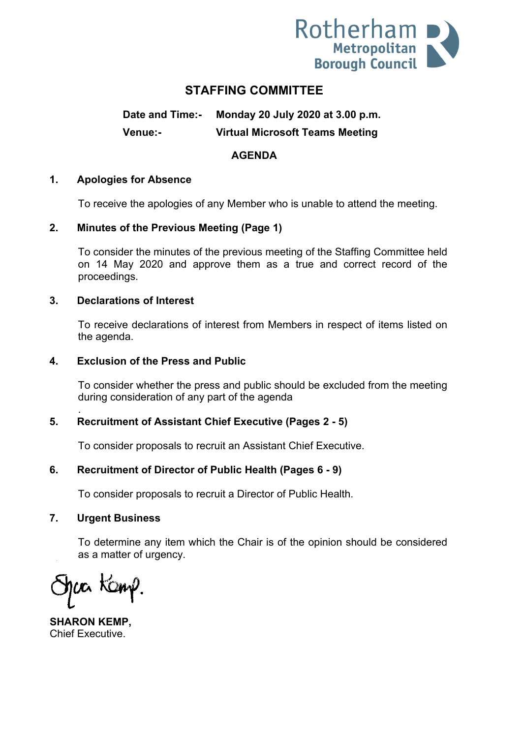

# **STAFFING COMMITTEE**

**Date and Time:- Monday 20 July 2020 at 3.00 p.m. Venue:- Virtual Microsoft Teams Meeting**

### **AGENDA**

### **1. Apologies for Absence**

To receive the apologies of any Member who is unable to attend the meeting.

### **2. Minutes of the Previous Meeting (Page 1)**

To consider the minutes of the previous meeting of the Staffing Committee held on 14 May 2020 and approve them as a true and correct record of the proceedings.

#### **3. Declarations of Interest**

To receive declarations of interest from Members in respect of items listed on the agenda.

#### **4. Exclusion of the Press and Public**

To consider whether the press and public should be excluded from the meeting during consideration of any part of the agenda

### **5. Recruitment of Assistant Chief Executive (Pages 2 - 5)**

To consider proposals to recruit an Assistant Chief Executive.

### **6. Recruitment of Director of Public Health (Pages 6 - 9)**

To consider proposals to recruit a Director of Public Health.

#### **7. Urgent Business**

.

To determine any item which the Chair is of the opinion should be considered as a matter of urgency.

ca Kanp

**SHARON KEMP,** Chief Executive.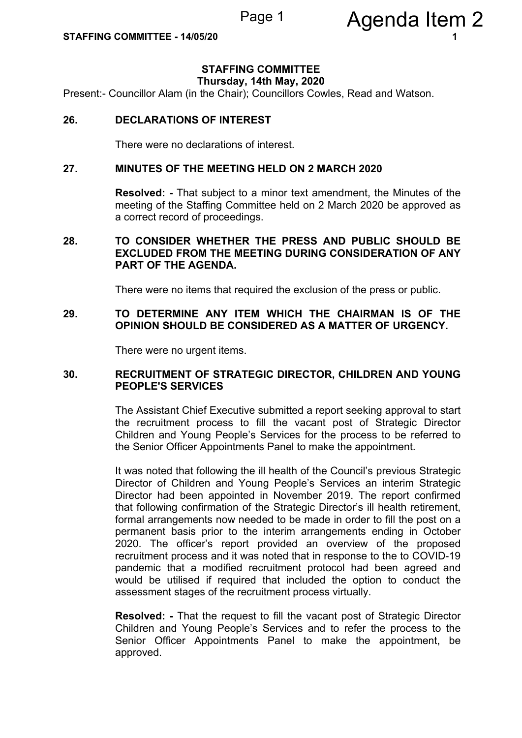# **STAFFING COMMITTEE**

**Thursday, 14th May, 2020**

Present:- Councillor Alam (in the Chair); Councillors Cowles, Read and Watson.

#### **26. DECLARATIONS OF INTEREST**

There were no declarations of interest.

#### **27. MINUTES OF THE MEETING HELD ON 2 MARCH 2020**

**Resolved: -** That subject to a minor text amendment, the Minutes of the meeting of the Staffing Committee held on 2 March 2020 be approved as a correct record of proceedings.

#### **28. TO CONSIDER WHETHER THE PRESS AND PUBLIC SHOULD BE EXCLUDED FROM THE MEETING DURING CONSIDERATION OF ANY PART OF THE AGENDA.**

There were no items that required the exclusion of the press or public.

### **29. TO DETERMINE ANY ITEM WHICH THE CHAIRMAN IS OF THE OPINION SHOULD BE CONSIDERED AS A MATTER OF URGENCY.**

There were no urgent items.

#### **30. RECRUITMENT OF STRATEGIC DIRECTOR, CHILDREN AND YOUNG PEOPLE'S SERVICES**

The Assistant Chief Executive submitted a report seeking approval to start the recruitment process to fill the vacant post of Strategic Director Children and Young People's Services for the process to be referred to the Senior Officer Appointments Panel to make the appointment.

It was noted that following the ill health of the Council's previous Strategic Director of Children and Young People's Services an interim Strategic Director had been appointed in November 2019. The report confirmed that following confirmation of the Strategic Director's ill health retirement, formal arrangements now needed to be made in order to fill the post on a permanent basis prior to the interim arrangements ending in October 2020. The officer's report provided an overview of the proposed recruitment process and it was noted that in response to the to COVID-19 pandemic that a modified recruitment protocol had been agreed and would be utilised if required that included the option to conduct the assessment stages of the recruitment process virtually.

**Resolved: -** That the request to fill the vacant post of Strategic Director Children and Young People's Services and to refer the process to the Senior Officer Appointments Panel to make the appointment, be approved.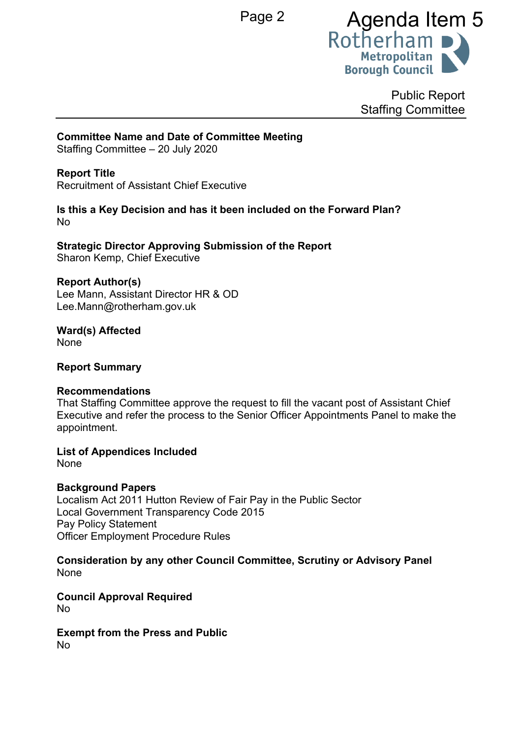

Public Report Staffing Committee

# **Committee Name and Date of Committee Meeting**

Staffing Committee – 20 July 2020

# **Report Title**

Recruitment of Assistant Chief Executive

### **Is this a Key Decision and has it been included on the Forward Plan?** No

**Strategic Director Approving Submission of the Report** Sharon Kemp, Chief Executive

### **Report Author(s)**

Lee Mann, Assistant Director HR & OD Lee.Mann@rotherham.gov.uk

#### **Ward(s) Affected** None

**Report Summary**

# **Recommendations**

That Staffing Committee approve the request to fill the vacant post of Assistant Chief Executive and refer the process to the Senior Officer Appointments Panel to make the appointment.

**List of Appendices Included**

None

# **Background Papers**

Localism Act 2011 Hutton Review of Fair Pay in the Public Sector Local Government Transparency Code 2015 Pay Policy Statement Officer Employment Procedure Rules

**Consideration by any other Council Committee, Scrutiny or Advisory Panel** None

**Council Approval Required** No

#### **Exempt from the Press and Public** No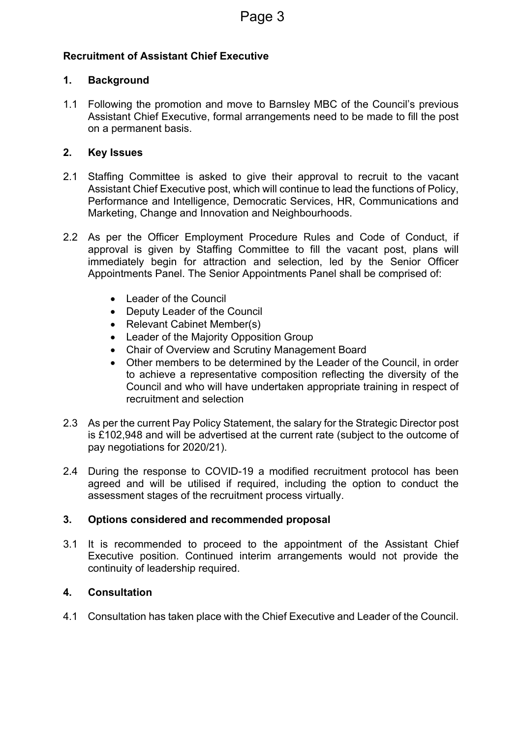# **Recruitment of Assistant Chief Executive**

# **1. Background**

1.1 Following the promotion and move to Barnsley MBC of the Council's previous Assistant Chief Executive, formal arrangements need to be made to fill the post on a permanent basis.

## **2. Key Issues**

- 2.1 Staffing Committee is asked to give their approval to recruit to the vacant Assistant Chief Executive post, which will continue to lead the functions of Policy, Performance and Intelligence, Democratic Services, HR, Communications and Marketing, Change and Innovation and Neighbourhoods.
- 2.2 As per the Officer Employment Procedure Rules and Code of Conduct, if approval is given by Staffing Committee to fill the vacant post, plans will immediately begin for attraction and selection, led by the Senior Officer Appointments Panel. The Senior Appointments Panel shall be comprised of:
	- Leader of the Council
	- Deputy Leader of the Council
	- Relevant Cabinet Member(s)
	- Leader of the Majority Opposition Group
	- Chair of Overview and Scrutiny Management Board
	- Other members to be determined by the Leader of the Council, in order to achieve a representative composition reflecting the diversity of the Council and who will have undertaken appropriate training in respect of recruitment and selection
- 2.3 As per the current Pay Policy Statement, the salary for the Strategic Director post is £102,948 and will be advertised at the current rate (subject to the outcome of pay negotiations for 2020/21).
- 2.4 During the response to COVID-19 a modified recruitment protocol has been agreed and will be utilised if required, including the option to conduct the assessment stages of the recruitment process virtually.

# **3. Options considered and recommended proposal**

3.1 It is recommended to proceed to the appointment of the Assistant Chief Executive position. Continued interim arrangements would not provide the continuity of leadership required.

# **4. Consultation**

4.1 Consultation has taken place with the Chief Executive and Leader of the Council.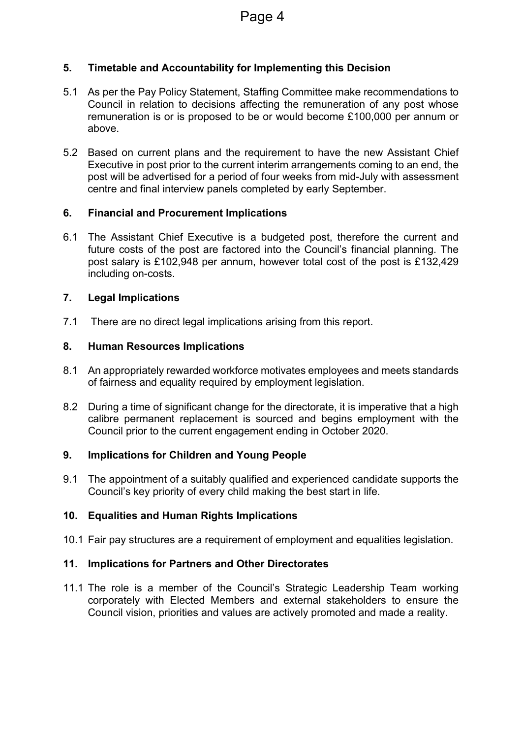# **5. Timetable and Accountability for Implementing this Decision**

- 5.1 As per the Pay Policy Statement, Staffing Committee make recommendations to Council in relation to decisions affecting the remuneration of any post whose remuneration is or is proposed to be or would become £100,000 per annum or above.
- 5.2 Based on current plans and the requirement to have the new Assistant Chief Executive in post prior to the current interim arrangements coming to an end, the post will be advertised for a period of four weeks from mid-July with assessment centre and final interview panels completed by early September.

# **6. Financial and Procurement Implications**

6.1 The Assistant Chief Executive is a budgeted post, therefore the current and future costs of the post are factored into the Council's financial planning. The post salary is £102,948 per annum, however total cost of the post is £132,429 including on-costs.

### **7. Legal Implications**

7.1 There are no direct legal implications arising from this report.

### **8. Human Resources Implications**

- 8.1 An appropriately rewarded workforce motivates employees and meets standards of fairness and equality required by employment legislation.
- 8.2 During a time of significant change for the directorate, it is imperative that a high calibre permanent replacement is sourced and begins employment with the Council prior to the current engagement ending in October 2020.

### **9. Implications for Children and Young People**

9.1 The appointment of a suitably qualified and experienced candidate supports the Council's key priority of every child making the best start in life.

# **10. Equalities and Human Rights Implications**

10.1 Fair pay structures are a requirement of employment and equalities legislation.

# **11. Implications for Partners and Other Directorates**

11.1 The role is a member of the Council's Strategic Leadership Team working corporately with Elected Members and external stakeholders to ensure the Council vision, priorities and values are actively promoted and made a reality.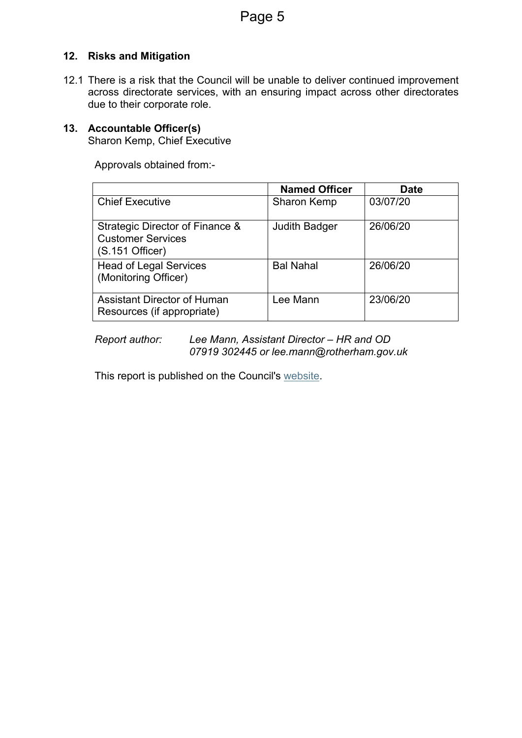# **12. Risks and Mitigation**

12.1 There is a risk that the Council will be unable to deliver continued improvement across directorate services, with an ensuring impact across other directorates due to their corporate role.

### **13. Accountable Officer(s)**

Sharon Kemp, Chief Executive

Approvals obtained from:-

|                                                                                  | <b>Named Officer</b> | <b>Date</b> |
|----------------------------------------------------------------------------------|----------------------|-------------|
| <b>Chief Executive</b>                                                           | Sharon Kemp          | 03/07/20    |
| Strategic Director of Finance &<br><b>Customer Services</b><br>$(S.151$ Officer) | <b>Judith Badger</b> | 26/06/20    |
| <b>Head of Legal Services</b><br>(Monitoring Officer)                            | <b>Bal Nahal</b>     | 26/06/20    |
| <b>Assistant Director of Human</b><br>Resources (if appropriate)                 | Lee Mann             | 23/06/20    |

*Report author: Lee Mann, Assistant Director – HR and OD 07919 302445 or lee.mann@rotherham.gov.uk*

This report is published on the Council's [website](https://moderngov.rotherham.gov.uk/ieDocHome.aspx?Categories=).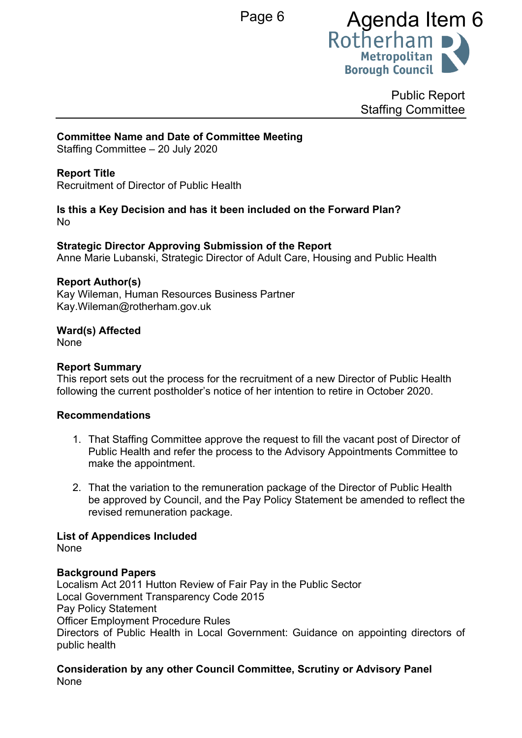

Public Report Staffing Committee

## **Committee Name and Date of Committee Meeting**

Staffing Committee – 20 July 2020

## **Report Title**

Recruitment of Director of Public Health

### **Is this a Key Decision and has it been included on the Forward Plan?** No

**Strategic Director Approving Submission of the Report** Anne Marie Lubanski, Strategic Director of Adult Care, Housing and Public Health

### **Report Author(s)**

Kay Wileman, Human Resources Business Partner Kay.Wileman@rotherham.gov.uk

### **Ward(s) Affected**

None

### **Report Summary**

This report sets out the process for the recruitment of a new Director of Public Health following the current postholder's notice of her intention to retire in October 2020.

### **Recommendations**

- 1. That Staffing Committee approve the request to fill the vacant post of Director of Public Health and refer the process to the Advisory Appointments Committee to make the appointment.
- 2. That the variation to the remuneration package of the Director of Public Health be approved by Council, and the Pay Policy Statement be amended to reflect the revised remuneration package.

### **List of Appendices Included**

None

### **Background Papers**

Localism Act 2011 Hutton Review of Fair Pay in the Public Sector Local Government Transparency Code 2015 Pay Policy Statement Officer Employment Procedure Rules Directors of Public Health in Local Government: Guidance on appointing directors of public health

**Consideration by any other Council Committee, Scrutiny or Advisory Panel** None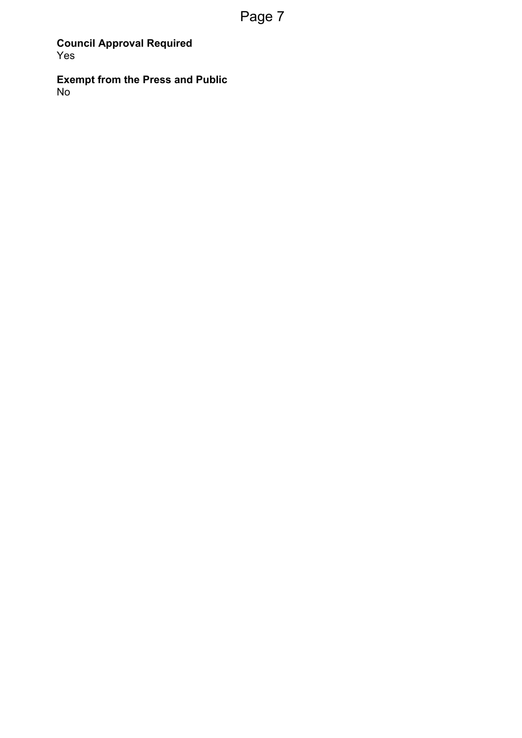**Council Approval Required** Yes

**Exempt from the Press and Public** No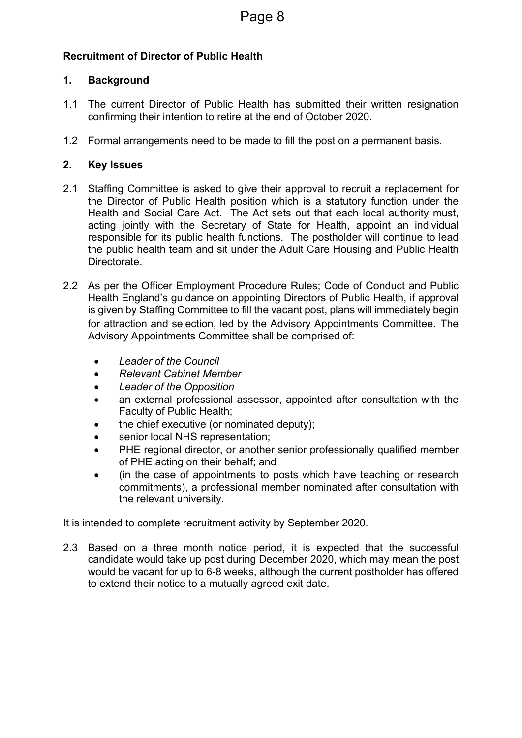# **Recruitment of Director of Public Health**

# **1. Background**

- 1.1 The current Director of Public Health has submitted their written resignation confirming their intention to retire at the end of October 2020.
- 1.2 Formal arrangements need to be made to fill the post on a permanent basis.

# **2. Key Issues**

- 2.1 Staffing Committee is asked to give their approval to recruit a replacement for the Director of Public Health position which is a statutory function under the Health and Social Care Act. The Act sets out that each local authority must, acting jointly with the Secretary of State for Health, appoint an individual responsible for its public health functions. The postholder will continue to lead the public health team and sit under the Adult Care Housing and Public Health Directorate.
- 2.2 As per the Officer Employment Procedure Rules; Code of Conduct and Public Health England's guidance on appointing Directors of Public Health, if approval is given by Staffing Committee to fill the vacant post, plans will immediately begin for attraction and selection, led by the Advisory Appointments Committee. The Advisory Appointments Committee shall be comprised of:
	- *Leader of the Council*
	- *Relevant Cabinet Member*
	- *Leader of the Opposition*
	- an external professional assessor, appointed after consultation with the Faculty of Public Health;
	- the chief executive (or nominated deputy);
	- senior local NHS representation:
	- PHE regional director, or another senior professionally qualified member of PHE acting on their behalf; and
	- (in the case of appointments to posts which have teaching or research commitments), a professional member nominated after consultation with the relevant university.

It is intended to complete recruitment activity by September 2020.

2.3 Based on a three month notice period, it is expected that the successful candidate would take up post during December 2020, which may mean the post would be vacant for up to 6-8 weeks, although the current postholder has offered to extend their notice to a mutually agreed exit date.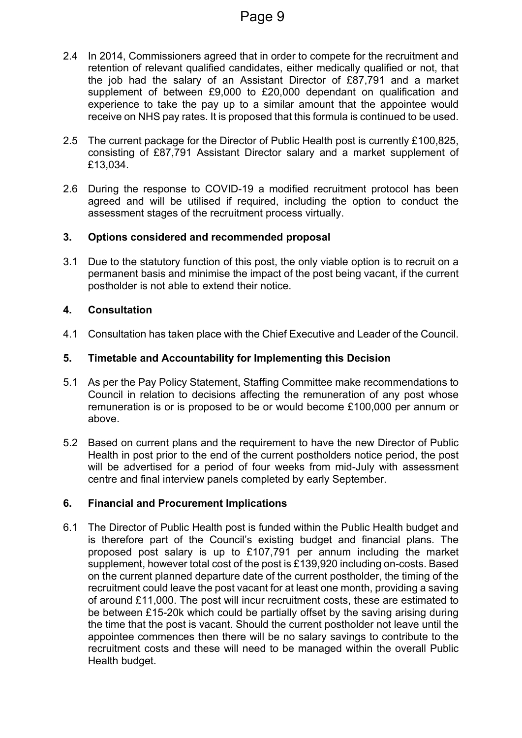- 2.4 In 2014, Commissioners agreed that in order to compete for the recruitment and retention of relevant qualified candidates, either medically qualified or not, that the job had the salary of an Assistant Director of £87,791 and a market supplement of between £9,000 to £20,000 dependant on qualification and experience to take the pay up to a similar amount that the appointee would receive on NHS pay rates. It is proposed that this formula is continued to be used.
- 2.5 The current package for the Director of Public Health post is currently £100,825, consisting of £87,791 Assistant Director salary and a market supplement of £13,034.
- 2.6 During the response to COVID-19 a modified recruitment protocol has been agreed and will be utilised if required, including the option to conduct the assessment stages of the recruitment process virtually.

### **3. Options considered and recommended proposal**

3.1 Due to the statutory function of this post, the only viable option is to recruit on a permanent basis and minimise the impact of the post being vacant, if the current postholder is not able to extend their notice.

### **4. Consultation**

4.1 Consultation has taken place with the Chief Executive and Leader of the Council.

### **5. Timetable and Accountability for Implementing this Decision**

- 5.1 As per the Pay Policy Statement, Staffing Committee make recommendations to Council in relation to decisions affecting the remuneration of any post whose remuneration is or is proposed to be or would become £100,000 per annum or above.
- 5.2 Based on current plans and the requirement to have the new Director of Public Health in post prior to the end of the current postholders notice period, the post will be advertised for a period of four weeks from mid-July with assessment centre and final interview panels completed by early September.

# **6. Financial and Procurement Implications**

6.1 The Director of Public Health post is funded within the Public Health budget and is therefore part of the Council's existing budget and financial plans. The proposed post salary is up to £107,791 per annum including the market supplement, however total cost of the post is £139,920 including on-costs. Based on the current planned departure date of the current postholder, the timing of the recruitment could leave the post vacant for at least one month, providing a saving of around £11,000. The post will incur recruitment costs, these are estimated to be between £15-20k which could be partially offset by the saving arising during the time that the post is vacant. Should the current postholder not leave until the appointee commences then there will be no salary savings to contribute to the recruitment costs and these will need to be managed within the overall Public Health budget.